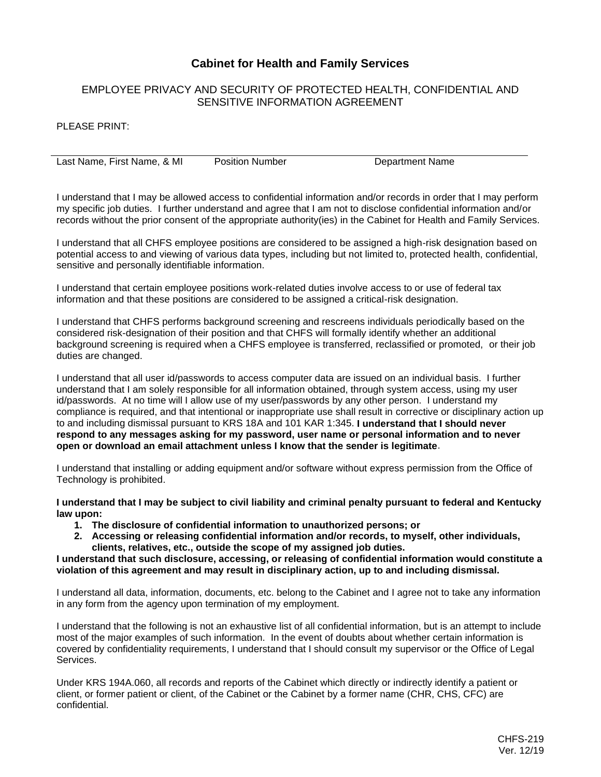## **Cabinet for Health and Family Services**

## EMPLOYEE PRIVACY AND SECURITY OF PROTECTED HEALTH, CONFIDENTIAL AND SENSITIVE INFORMATION AGREEMENT

PLEASE PRINT:

Last Name, First Name, & MI Position Number Department Name

I understand that I may be allowed access to confidential information and/or records in order that I may perform my specific job duties. I further understand and agree that I am not to disclose confidential information and/or records without the prior consent of the appropriate authority(ies) in the Cabinet for Health and Family Services.

I understand that all CHFS employee positions are considered to be assigned a high-risk designation based on potential access to and viewing of various data types, including but not limited to, protected health, confidential, sensitive and personally identifiable information.

I understand that certain employee positions work-related duties involve access to or use of federal tax information and that these positions are considered to be assigned a critical-risk designation.

I understand that CHFS performs background screening and rescreens individuals periodically based on the considered risk-designation of their position and that CHFS will formally identify whether an additional background screening is required when a CHFS employee is transferred, reclassified or promoted, or their job duties are changed.

I understand that all user id/passwords to access computer data are issued on an individual basis. I further understand that I am solely responsible for all information obtained, through system access, using my user id/passwords. At no time will I allow use of my user/passwords by any other person. I understand my compliance is required, and that intentional or inappropriate use shall result in corrective or disciplinary action up to and including dismissal pursuant to KRS 18A and 101 KAR 1:345. **I understand that I should never respond to any messages asking for my password, user name or personal information and to never open or download an email attachment unless I know that the sender is legitimate**.

I understand that installing or adding equipment and/or software without express permission from the Office of Technology is prohibited.

**I understand that I may be subject to civil liability and criminal penalty pursuant to federal and Kentucky law upon:**

- **1. The disclosure of confidential information to unauthorized persons; or**
- **2. Accessing or releasing confidential information and/or records, to myself, other individuals, clients, relatives, etc., outside the scope of my assigned job duties.**

**I understand that such disclosure, accessing, or releasing of confidential information would constitute a violation of this agreement and may result in disciplinary action, up to and including dismissal.**

I understand all data, information, documents, etc. belong to the Cabinet and I agree not to take any information in any form from the agency upon termination of my employment.

I understand that the following is not an exhaustive list of all confidential information, but is an attempt to include most of the major examples of such information. In the event of doubts about whether certain information is covered by confidentiality requirements, I understand that I should consult my supervisor or the Office of Legal Services.

Under KRS 194A.060, all records and reports of the Cabinet which directly or indirectly identify a patient or client, or former patient or client, of the Cabinet or the Cabinet by a former name (CHR, CHS, CFC) are confidential.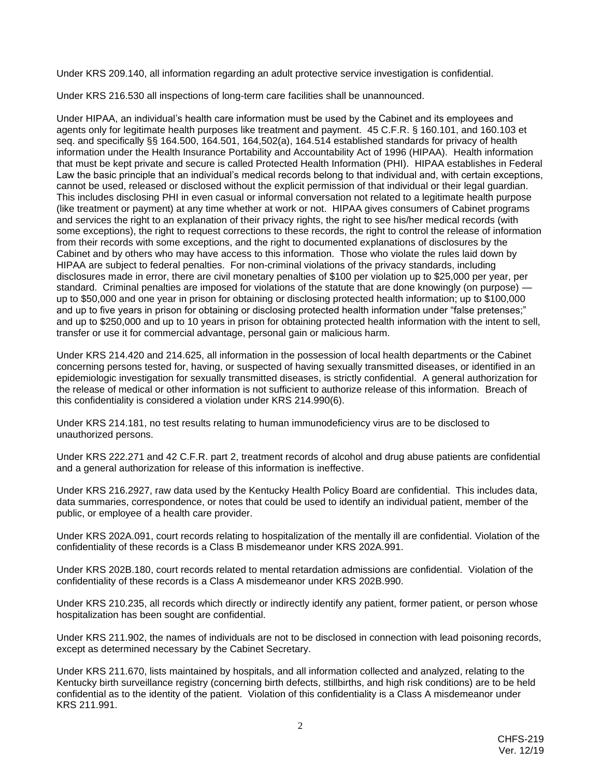Under KRS 209.140, all information regarding an adult protective service investigation is confidential.

Under KRS 216.530 all inspections of long-term care facilities shall be unannounced.

Under HIPAA, an individual's health care information must be used by the Cabinet and its employees and agents only for legitimate health purposes like treatment and payment. 45 C.F.R. § 160.101, and 160.103 et seq. and specifically §§ 164.500, 164.501, 164,502(a), 164.514 established standards for privacy of health information under the Health Insurance Portability and Accountability Act of 1996 (HIPAA). Health information that must be kept private and secure is called Protected Health Information (PHI). HIPAA establishes in Federal Law the basic principle that an individual's medical records belong to that individual and, with certain exceptions, cannot be used, released or disclosed without the explicit permission of that individual or their legal guardian. This includes disclosing PHI in even casual or informal conversation not related to a legitimate health purpose (like treatment or payment) at any time whether at work or not. HIPAA gives consumers of Cabinet programs and services the right to an explanation of their privacy rights, the right to see his/her medical records (with some exceptions), the right to request corrections to these records, the right to control the release of information from their records with some exceptions, and the right to documented explanations of disclosures by the Cabinet and by others who may have access to this information. Those who violate the rules laid down by HIPAA are subject to federal penalties. For non-criminal violations of the privacy standards, including disclosures made in error, there are civil monetary penalties of \$100 per violation up to \$25,000 per year, per standard. Criminal penalties are imposed for violations of the statute that are done knowingly (on purpose) up to \$50,000 and one year in prison for obtaining or disclosing protected health information; up to \$100,000 and up to five years in prison for obtaining or disclosing protected health information under "false pretenses;" and up to \$250,000 and up to 10 years in prison for obtaining protected health information with the intent to sell, transfer or use it for commercial advantage, personal gain or malicious harm.

Under KRS 214.420 and 214.625, all information in the possession of local health departments or the Cabinet concerning persons tested for, having, or suspected of having sexually transmitted diseases, or identified in an epidemiologic investigation for sexually transmitted diseases, is strictly confidential. A general authorization for the release of medical or other information is not sufficient to authorize release of this information. Breach of this confidentiality is considered a violation under KRS 214.990(6).

Under KRS 214.181, no test results relating to human immunodeficiency virus are to be disclosed to unauthorized persons.

Under KRS 222.271 and 42 C.F.R. part 2, treatment records of alcohol and drug abuse patients are confidential and a general authorization for release of this information is ineffective.

Under KRS 216.2927, raw data used by the Kentucky Health Policy Board are confidential. This includes data, data summaries, correspondence, or notes that could be used to identify an individual patient, member of the public, or employee of a health care provider.

Under KRS 202A.091, court records relating to hospitalization of the mentally ill are confidential. Violation of the confidentiality of these records is a Class B misdemeanor under KRS 202A.991.

Under KRS 202B.180, court records related to mental retardation admissions are confidential. Violation of the confidentiality of these records is a Class A misdemeanor under KRS 202B.990.

Under KRS 210.235, all records which directly or indirectly identify any patient, former patient, or person whose hospitalization has been sought are confidential.

Under KRS 211.902, the names of individuals are not to be disclosed in connection with lead poisoning records, except as determined necessary by the Cabinet Secretary.

Under KRS 211.670, lists maintained by hospitals, and all information collected and analyzed, relating to the Kentucky birth surveillance registry (concerning birth defects, stillbirths, and high risk conditions) are to be held confidential as to the identity of the patient. Violation of this confidentiality is a Class A misdemeanor under KRS 211.991.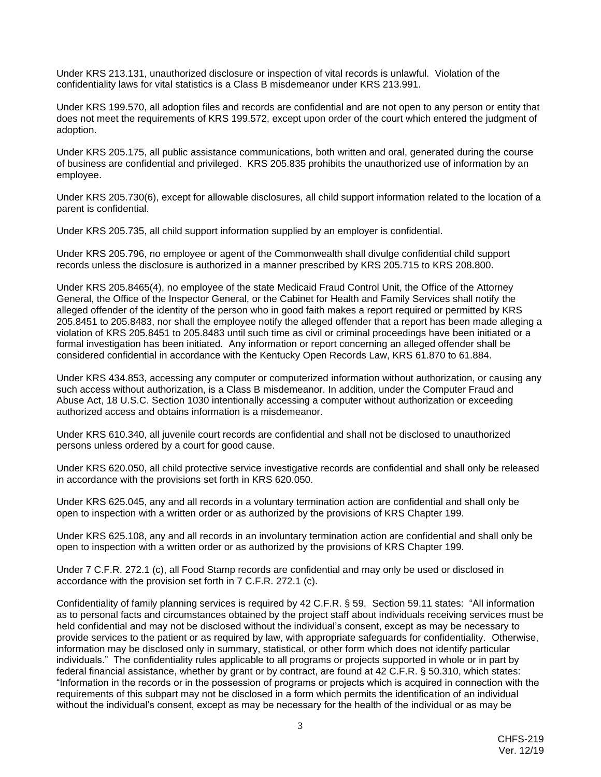Under KRS 213.131, unauthorized disclosure or inspection of vital records is unlawful. Violation of the confidentiality laws for vital statistics is a Class B misdemeanor under KRS 213.991.

Under KRS 199.570, all adoption files and records are confidential and are not open to any person or entity that does not meet the requirements of KRS 199.572, except upon order of the court which entered the judgment of adoption.

Under KRS 205.175, all public assistance communications, both written and oral, generated during the course of business are confidential and privileged. KRS 205.835 prohibits the unauthorized use of information by an employee.

Under KRS 205.730(6), except for allowable disclosures, all child support information related to the location of a parent is confidential.

Under KRS 205.735, all child support information supplied by an employer is confidential.

Under KRS 205.796, no employee or agent of the Commonwealth shall divulge confidential child support records unless the disclosure is authorized in a manner prescribed by KRS 205.715 to KRS 208.800.

Under KRS 205.8465(4), no employee of the state Medicaid Fraud Control Unit, the Office of the Attorney General, the Office of the Inspector General, or the Cabinet for Health and Family Services shall notify the alleged offender of the identity of the person who in good faith makes a report required or permitted by KRS 205.8451 to 205.8483, nor shall the employee notify the alleged offender that a report has been made alleging a violation of KRS 205.8451 to 205.8483 until such time as civil or criminal proceedings have been initiated or a formal investigation has been initiated. Any information or report concerning an alleged offender shall be considered confidential in accordance with the Kentucky Open Records Law, KRS 61.870 to 61.884.

Under KRS 434.853, accessing any computer or computerized information without authorization, or causing any such access without authorization, is a Class B misdemeanor. In addition, under the Computer Fraud and Abuse Act, 18 U.S.C. Section 1030 intentionally accessing a computer without authorization or exceeding authorized access and obtains information is a misdemeanor.

Under KRS 610.340, all juvenile court records are confidential and shall not be disclosed to unauthorized persons unless ordered by a court for good cause.

Under KRS 620.050, all child protective service investigative records are confidential and shall only be released in accordance with the provisions set forth in KRS 620.050.

Under KRS 625.045, any and all records in a voluntary termination action are confidential and shall only be open to inspection with a written order or as authorized by the provisions of KRS Chapter 199.

Under KRS 625.108, any and all records in an involuntary termination action are confidential and shall only be open to inspection with a written order or as authorized by the provisions of KRS Chapter 199.

Under 7 C.F.R. 272.1 (c), all Food Stamp records are confidential and may only be used or disclosed in accordance with the provision set forth in 7 C.F.R. 272.1 (c).

Confidentiality of family planning services is required by 42 C.F.R. § 59. Section 59.11 states: "All information as to personal facts and circumstances obtained by the project staff about individuals receiving services must be held confidential and may not be disclosed without the individual's consent, except as may be necessary to provide services to the patient or as required by law, with appropriate safeguards for confidentiality. Otherwise, information may be disclosed only in summary, statistical, or other form which does not identify particular individuals." The confidentiality rules applicable to all programs or projects supported in whole or in part by federal financial assistance, whether by grant or by contract, are found at 42 C.F.R. § 50.310, which states: "Information in the records or in the possession of programs or projects which is acquired in connection with the requirements of this subpart may not be disclosed in a form which permits the identification of an individual without the individual's consent, except as may be necessary for the health of the individual or as may be